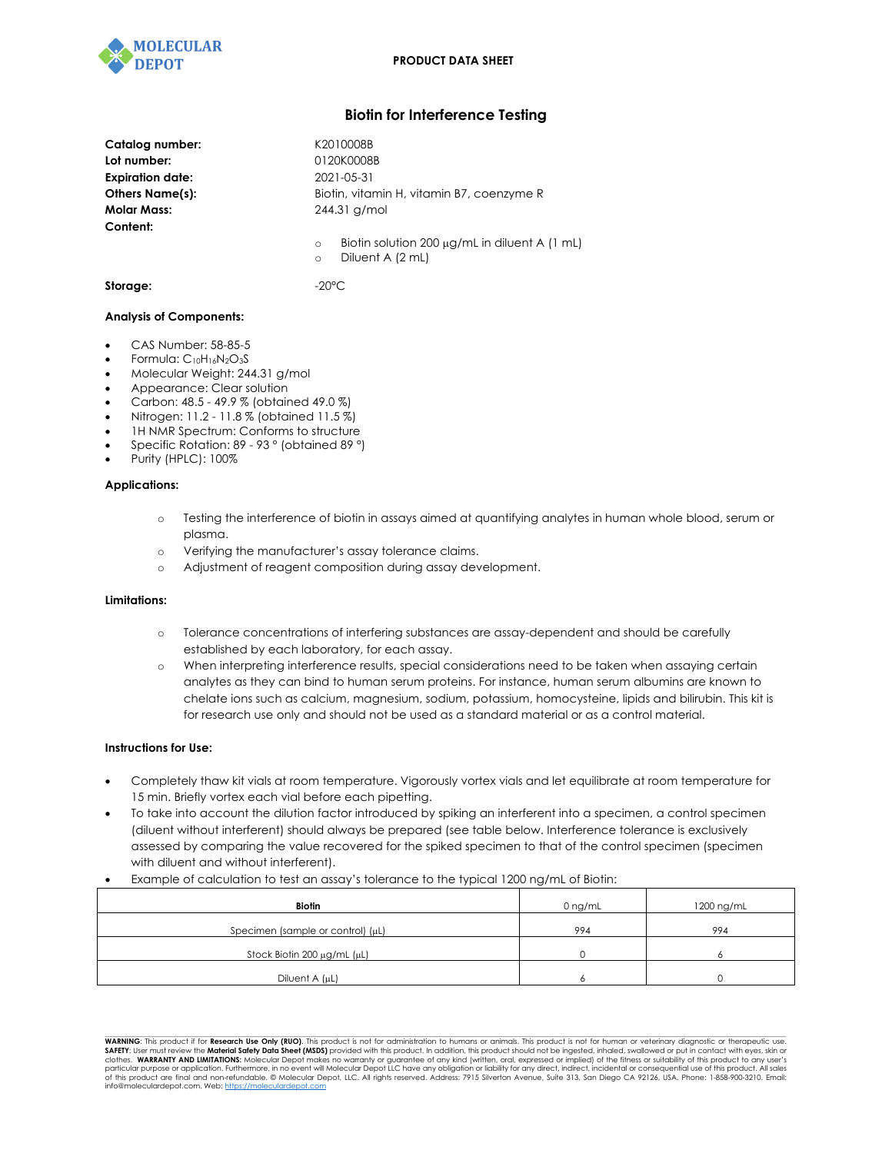

# **Biotin for Interference Testing**

| Catalog number:<br>Lot number:<br><b>Expiration date:</b><br>Others Name(s):<br><b>Molar Mass:</b><br>Content: | K2010008B<br>0120K0008B<br>2021-05-31<br>Biotin, vitamin H, vitamin B7, coenzyme R<br>$244.31$ g/mol |
|----------------------------------------------------------------------------------------------------------------|------------------------------------------------------------------------------------------------------|
|                                                                                                                | Biotin solution 200 $\mu$ g/mL in diluent A (1 mL)<br>$\circ$<br>Diluent A (2 mL)<br>$\circ$         |
| Storage:                                                                                                       | $-20^{\circ}$ C                                                                                      |

## **Analysis of Components:**

- CAS Number: 58-85-5
- Formula: C10H16N2O3S
- Molecular Weight: 244.31 g/mol
- Appearance: Clear solution
- Carbon: 48.5 49.9 % (obtained 49.0 %)
- Nitrogen: 11.2 11.8 % (obtained 11.5 %)
- 1H NMR Spectrum: Conforms to structure
- Specific Rotation: 89 93 ° (obtained 89 °)
- Purity (HPLC): 100%

## **Applications:**

- o Testing the interference of biotin in assays aimed at quantifying analytes in human whole blood, serum or plasma.
- o Verifying the manufacturer's assay tolerance claims.
- o Adjustment of reagent composition during assay development.

#### **Limitations:**

- o Tolerance concentrations of interfering substances are assay-dependent and should be carefully established by each laboratory, for each assay.
- o When interpreting interference results, special considerations need to be taken when assaying certain analytes as they can bind to human serum proteins. For instance, human serum albumins are known to chelate ions such as calcium, magnesium, sodium, potassium, homocysteine, lipids and bilirubin. This kit is for research use only and should not be used as a standard material or as a control material.

## **Instructions for Use:**

- Completely thaw kit vials at room temperature. Vigorously vortex vials and let equilibrate at room temperature for 15 min. Briefly vortex each vial before each pipetting.
- To take into account the dilution factor introduced by spiking an interferent into a specimen, a control specimen (diluent without interferent) should always be prepared (see table below. Interference tolerance is exclusively assessed by comparing the value recovered for the spiked specimen to that of the control specimen (specimen with diluent and without interferent).
- Example of calculation to test an assay's tolerance to the typical 1200 ng/mL of Biotin:

| <b>Biotin</b>                          | $0$ ng/mL | 1200 ng/mL |
|----------------------------------------|-----------|------------|
| Specimen (sample or control) $(\mu L)$ | 994       | 994        |
| Stock Biotin 200 μg/mL (μL)            |           |            |
| Diluent A (µL)                         |           |            |

**WARNING**: This product if for **Research Use Only (RUO)**. This product is not for administration to humans or animals. This product is not for human or veterinary diagnostic or therapeutic use. SAFETY: User must review the **Material Safety Data Sheet (MSDS)** provided with this product. In addition, this product should not be ingested, inhaled, swallowed or put in contact with eyes, skin or<br>particular purpose or a info@moleculardepot.com. Web: https://moleculardepot.com

 $\mathcal{L}_\text{max} = \mathcal{L}_\text{max} = \mathcal{L}_\text{max} = \mathcal{L}_\text{max} = \mathcal{L}_\text{max} = \mathcal{L}_\text{max} = \mathcal{L}_\text{max} = \mathcal{L}_\text{max} = \mathcal{L}_\text{max} = \mathcal{L}_\text{max} = \mathcal{L}_\text{max} = \mathcal{L}_\text{max} = \mathcal{L}_\text{max} = \mathcal{L}_\text{max} = \mathcal{L}_\text{max} = \mathcal{L}_\text{max} = \mathcal{L}_\text{max} = \mathcal{L}_\text{max} = \mathcal{$